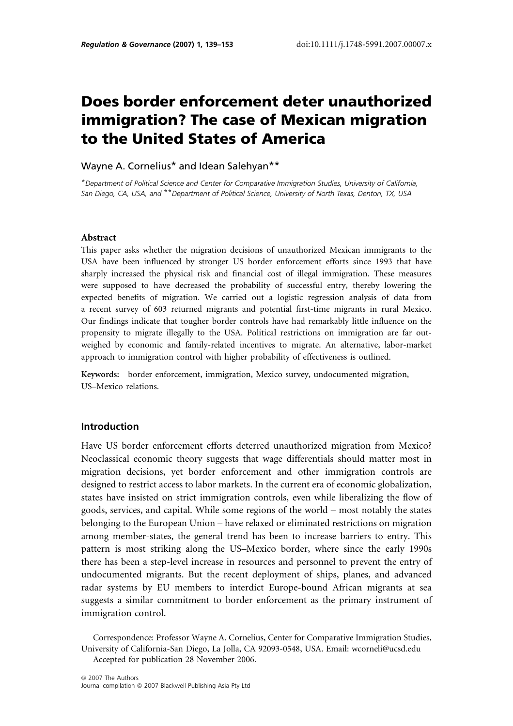# Does border enforcement deter unauthorized immigration? The case of Mexican migration to the United States of America

# Wayne A. Cornelius\* and Idean Salehyan\*\*

\*Department of Political Science and Center for Comparative Immigration Studies, University of California, San Diego, CA, USA, and \*\* Department of Political Science, University of North Texas, Denton, TX, USA

## Abstract

This paper asks whether the migration decisions of unauthorized Mexican immigrants to the USA have been influenced by stronger US border enforcement efforts since 1993 that have sharply increased the physical risk and financial cost of illegal immigration. These measures were supposed to have decreased the probability of successful entry, thereby lowering the expected benefits of migration. We carried out a logistic regression analysis of data from a recent survey of 603 returned migrants and potential first-time migrants in rural Mexico. Our findings indicate that tougher border controls have had remarkably little influence on the propensity to migrate illegally to the USA. Political restrictions on immigration are far outweighed by economic and family-related incentives to migrate. An alternative, labor-market approach to immigration control with higher probability of effectiveness is outlined.

Keywords: border enforcement, immigration, Mexico survey, undocumented migration, US–Mexico relations.

#### Introduction

Have US border enforcement efforts deterred unauthorized migration from Mexico? Neoclassical economic theory suggests that wage differentials should matter most in migration decisions, yet border enforcement and other immigration controls are designed to restrict access to labor markets. In the current era of economic globalization, states have insisted on strict immigration controls, even while liberalizing the flow of goods, services, and capital. While some regions of the world – most notably the states belonging to the European Union – have relaxed or eliminated restrictions on migration among member-states, the general trend has been to increase barriers to entry. This pattern is most striking along the US–Mexico border, where since the early 1990s there has been a step-level increase in resources and personnel to prevent the entry of undocumented migrants. But the recent deployment of ships, planes, and advanced radar systems by EU members to interdict Europe-bound African migrants at sea suggests a similar commitment to border enforcement as the primary instrument of immigration control.

Correspondence: Professor Wayne A. Cornelius, Center for Comparative Immigration Studies, University of California-San Diego, La Jolla, CA 92093-0548, USA. Email: wcorneli@ucsd.edu Accepted for publication 28 November 2006.

 $© 2007$  The Authors Journal compilation @ 2007 Blackwell Publishing Asia Pty Ltd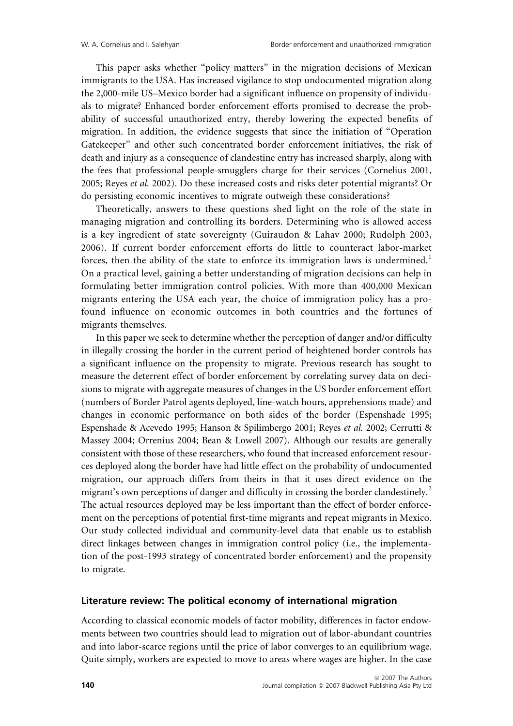This paper asks whether "policy matters" in the migration decisions of Mexican immigrants to the USA. Has increased vigilance to stop undocumented migration along the 2,000-mile US–Mexico border had a significant influence on propensity of individuals to migrate? Enhanced border enforcement efforts promised to decrease the probability of successful unauthorized entry, thereby lowering the expected benefits of migration. In addition, the evidence suggests that since the initiation of ''Operation Gatekeeper'' and other such concentrated border enforcement initiatives, the risk of death and injury as a consequence of clandestine entry has increased sharply, along with the fees that professional people-smugglers charge for their services (Cornelius 2001, 2005; Reyes et al. 2002). Do these increased costs and risks deter potential migrants? Or do persisting economic incentives to migrate outweigh these considerations?

Theoretically, answers to these questions shed light on the role of the state in managing migration and controlling its borders. Determining who is allowed access is a key ingredient of state sovereignty (Guiraudon & Lahav 2000; Rudolph 2003, 2006). If current border enforcement efforts do little to counteract labor-market forces, then the ability of the state to enforce its immigration laws is undermined.<sup>1</sup> On a practical level, gaining a better understanding of migration decisions can help in formulating better immigration control policies. With more than 400,000 Mexican migrants entering the USA each year, the choice of immigration policy has a profound influence on economic outcomes in both countries and the fortunes of migrants themselves.

In this paper we seek to determine whether the perception of danger and/or difficulty in illegally crossing the border in the current period of heightened border controls has a significant influence on the propensity to migrate. Previous research has sought to measure the deterrent effect of border enforcement by correlating survey data on decisions to migrate with aggregate measures of changes in the US border enforcement effort (numbers of Border Patrol agents deployed, line-watch hours, apprehensions made) and changes in economic performance on both sides of the border (Espenshade 1995; Espenshade & Acevedo 1995; Hanson & Spilimbergo 2001; Reyes et al. 2002; Cerrutti & Massey 2004; Orrenius 2004; Bean & Lowell 2007). Although our results are generally consistent with those of these researchers, who found that increased enforcement resources deployed along the border have had little effect on the probability of undocumented migration, our approach differs from theirs in that it uses direct evidence on the migrant's own perceptions of danger and difficulty in crossing the border clandestinely.<sup>2</sup> The actual resources deployed may be less important than the effect of border enforcement on the perceptions of potential first-time migrants and repeat migrants in Mexico. Our study collected individual and community-level data that enable us to establish direct linkages between changes in immigration control policy (i.e., the implementation of the post-1993 strategy of concentrated border enforcement) and the propensity to migrate.

# Literature review: The political economy of international migration

According to classical economic models of factor mobility, differences in factor endowments between two countries should lead to migration out of labor-abundant countries and into labor-scarce regions until the price of labor converges to an equilibrium wage. Quite simply, workers are expected to move to areas where wages are higher. In the case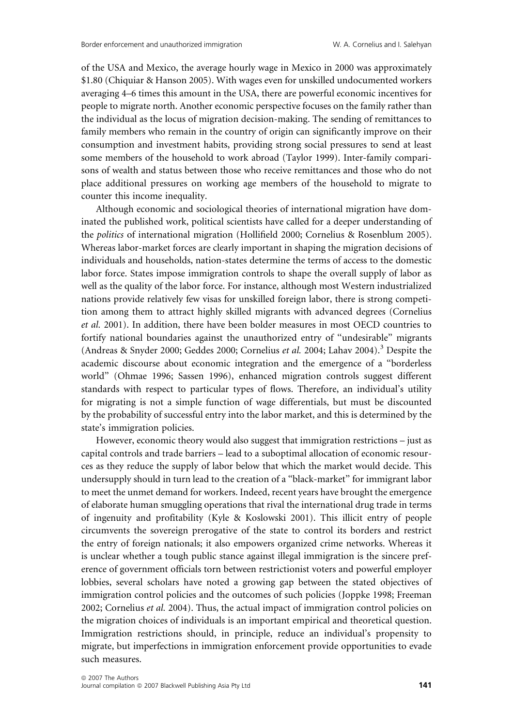of the USA and Mexico, the average hourly wage in Mexico in 2000 was approximately \$1.80 (Chiquiar & Hanson 2005). With wages even for unskilled undocumented workers averaging 4–6 times this amount in the USA, there are powerful economic incentives for people to migrate north. Another economic perspective focuses on the family rather than the individual as the locus of migration decision-making. The sending of remittances to family members who remain in the country of origin can significantly improve on their consumption and investment habits, providing strong social pressures to send at least some members of the household to work abroad (Taylor 1999). Inter-family comparisons of wealth and status between those who receive remittances and those who do not place additional pressures on working age members of the household to migrate to counter this income inequality.

Although economic and sociological theories of international migration have dominated the published work, political scientists have called for a deeper understanding of the politics of international migration (Hollifield 2000; Cornelius & Rosenblum 2005). Whereas labor-market forces are clearly important in shaping the migration decisions of individuals and households, nation-states determine the terms of access to the domestic labor force. States impose immigration controls to shape the overall supply of labor as well as the quality of the labor force. For instance, although most Western industrialized nations provide relatively few visas for unskilled foreign labor, there is strong competition among them to attract highly skilled migrants with advanced degrees (Cornelius et al. 2001). In addition, there have been bolder measures in most OECD countries to fortify national boundaries against the unauthorized entry of ''undesirable'' migrants (Andreas & Snyder 2000; Geddes 2000; Cornelius et al. 2004; Lahav 2004).<sup>3</sup> Despite the academic discourse about economic integration and the emergence of a ''borderless world'' (Ohmae 1996; Sassen 1996), enhanced migration controls suggest different standards with respect to particular types of flows. Therefore, an individual's utility for migrating is not a simple function of wage differentials, but must be discounted by the probability of successful entry into the labor market, and this is determined by the state's immigration policies.

However, economic theory would also suggest that immigration restrictions – just as capital controls and trade barriers – lead to a suboptimal allocation of economic resources as they reduce the supply of labor below that which the market would decide. This undersupply should in turn lead to the creation of a ''black-market'' for immigrant labor to meet the unmet demand for workers. Indeed, recent years have brought the emergence of elaborate human smuggling operations that rival the international drug trade in terms of ingenuity and profitability (Kyle & Koslowski 2001). This illicit entry of people circumvents the sovereign prerogative of the state to control its borders and restrict the entry of foreign nationals; it also empowers organized crime networks. Whereas it is unclear whether a tough public stance against illegal immigration is the sincere preference of government officials torn between restrictionist voters and powerful employer lobbies, several scholars have noted a growing gap between the stated objectives of immigration control policies and the outcomes of such policies (Joppke 1998; Freeman 2002; Cornelius et al. 2004). Thus, the actual impact of immigration control policies on the migration choices of individuals is an important empirical and theoretical question. Immigration restrictions should, in principle, reduce an individual's propensity to migrate, but imperfections in immigration enforcement provide opportunities to evade such measures.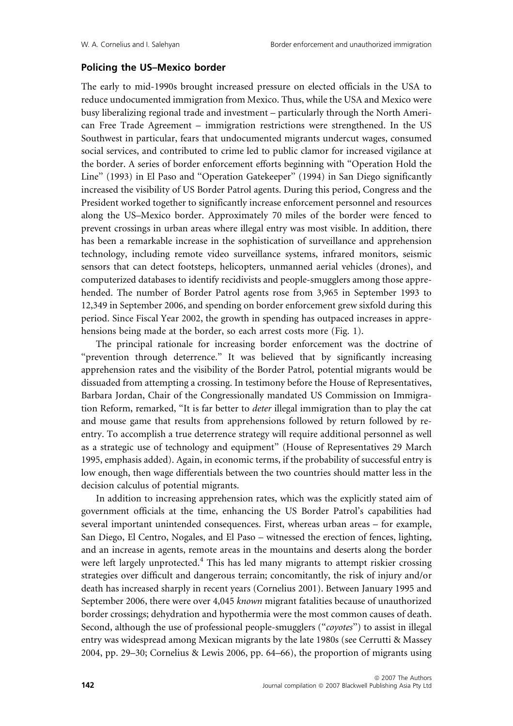# Policing the US–Mexico border

The early to mid-1990s brought increased pressure on elected officials in the USA to reduce undocumented immigration from Mexico. Thus, while the USA and Mexico were busy liberalizing regional trade and investment – particularly through the North American Free Trade Agreement – immigration restrictions were strengthened. In the US Southwest in particular, fears that undocumented migrants undercut wages, consumed social services, and contributed to crime led to public clamor for increased vigilance at the border. A series of border enforcement efforts beginning with ''Operation Hold the Line'' (1993) in El Paso and ''Operation Gatekeeper'' (1994) in San Diego significantly increased the visibility of US Border Patrol agents. During this period, Congress and the President worked together to significantly increase enforcement personnel and resources along the US–Mexico border. Approximately 70 miles of the border were fenced to prevent crossings in urban areas where illegal entry was most visible. In addition, there has been a remarkable increase in the sophistication of surveillance and apprehension technology, including remote video surveillance systems, infrared monitors, seismic sensors that can detect footsteps, helicopters, unmanned aerial vehicles (drones), and computerized databases to identify recidivists and people-smugglers among those apprehended. The number of Border Patrol agents rose from 3,965 in September 1993 to 12,349 in September 2006, and spending on border enforcement grew sixfold during this period. Since Fiscal Year 2002, the growth in spending has outpaced increases in apprehensions being made at the border, so each arrest costs more (Fig. 1).

The principal rationale for increasing border enforcement was the doctrine of ''prevention through deterrence.'' It was believed that by significantly increasing apprehension rates and the visibility of the Border Patrol, potential migrants would be dissuaded from attempting a crossing. In testimony before the House of Representatives, Barbara Jordan, Chair of the Congressionally mandated US Commission on Immigration Reform, remarked, ''It is far better to deter illegal immigration than to play the cat and mouse game that results from apprehensions followed by return followed by reentry. To accomplish a true deterrence strategy will require additional personnel as well as a strategic use of technology and equipment'' (House of Representatives 29 March 1995, emphasis added). Again, in economic terms, if the probability of successful entry is low enough, then wage differentials between the two countries should matter less in the decision calculus of potential migrants.

In addition to increasing apprehension rates, which was the explicitly stated aim of government officials at the time, enhancing the US Border Patrol's capabilities had several important unintended consequences. First, whereas urban areas – for example, San Diego, El Centro, Nogales, and El Paso – witnessed the erection of fences, lighting, and an increase in agents, remote areas in the mountains and deserts along the border were left largely unprotected. $4$  This has led many migrants to attempt riskier crossing strategies over difficult and dangerous terrain; concomitantly, the risk of injury and/or death has increased sharply in recent years (Cornelius 2001). Between January 1995 and September 2006, there were over 4,045 known migrant fatalities because of unauthorized border crossings; dehydration and hypothermia were the most common causes of death. Second, although the use of professional people-smugglers ("coyotes") to assist in illegal entry was widespread among Mexican migrants by the late 1980s (see Cerrutti & Massey 2004, pp. 29–30; Cornelius & Lewis 2006, pp. 64–66), the proportion of migrants using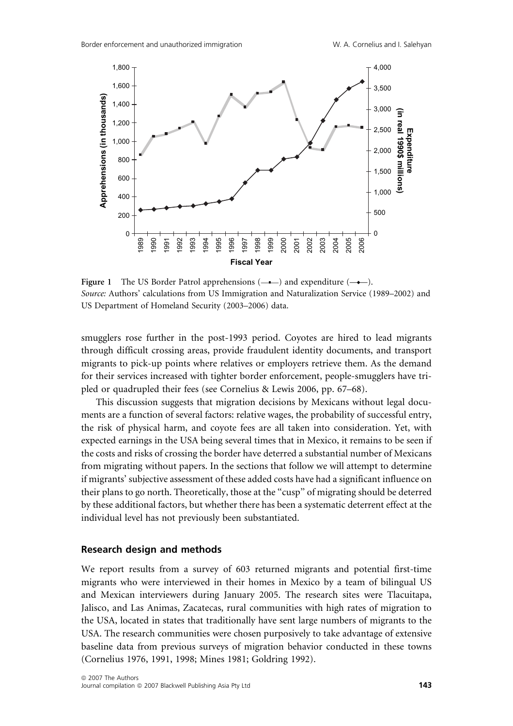

Figure 1 The US Border Patrol apprehensions  $(-$  and expenditure  $(-$ . Source: Authors' calculations from US Immigration and Naturalization Service (1989–2002) and US Department of Homeland Security (2003–2006) data.

smugglers rose further in the post-1993 period. Coyotes are hired to lead migrants through difficult crossing areas, provide fraudulent identity documents, and transport migrants to pick-up points where relatives or employers retrieve them. As the demand for their services increased with tighter border enforcement, people-smugglers have tripled or quadrupled their fees (see Cornelius & Lewis 2006, pp. 67–68).

This discussion suggests that migration decisions by Mexicans without legal documents are a function of several factors: relative wages, the probability of successful entry, the risk of physical harm, and coyote fees are all taken into consideration. Yet, with expected earnings in the USA being several times that in Mexico, it remains to be seen if the costs and risks of crossing the border have deterred a substantial number of Mexicans from migrating without papers. In the sections that follow we will attempt to determine if migrants' subjective assessment of these added costs have had a significant influence on their plans to go north. Theoretically, those at the "cusp" of migrating should be deterred by these additional factors, but whether there has been a systematic deterrent effect at the individual level has not previously been substantiated.

# Research design and methods

We report results from a survey of 603 returned migrants and potential first-time migrants who were interviewed in their homes in Mexico by a team of bilingual US and Mexican interviewers during January 2005. The research sites were Tlacuitapa, Jalisco, and Las Animas, Zacatecas, rural communities with high rates of migration to the USA, located in states that traditionally have sent large numbers of migrants to the USA. The research communities were chosen purposively to take advantage of extensive baseline data from previous surveys of migration behavior conducted in these towns (Cornelius 1976, 1991, 1998; Mines 1981; Goldring 1992).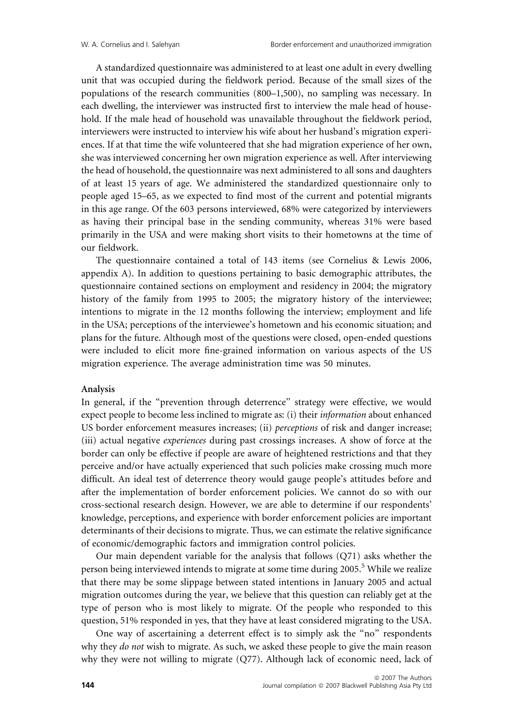A standardized questionnaire was administered to at least one adult in every dwelling unit that was occupied during the fieldwork period. Because of the small sizes of the populations of the research communities (800–1,500), no sampling was necessary. In each dwelling, the interviewer was instructed first to interview the male head of household. If the male head of household was unavailable throughout the fieldwork period, interviewers were instructed to interview his wife about her husband's migration experiences. If at that time the wife volunteered that she had migration experience of her own, she was interviewed concerning her own migration experience as well. After interviewing the head of household, the questionnaire was next administered to all sons and daughters of at least 15 years of age. We administered the standardized questionnaire only to people aged 15–65, as we expected to find most of the current and potential migrants in this age range. Of the 603 persons interviewed, 68% were categorized by interviewers as having their principal base in the sending community, whereas 31% were based primarily in the USA and were making short visits to their hometowns at the time of our fieldwork.

The questionnaire contained a total of 143 items (see Cornelius & Lewis 2006, appendix A). In addition to questions pertaining to basic demographic attributes, the questionnaire contained sections on employment and residency in 2004; the migratory history of the family from 1995 to 2005; the migratory history of the interviewee; intentions to migrate in the 12 months following the interview; employment and life in the USA; perceptions of the interviewee's hometown and his economic situation; and plans for the future. Although most of the questions were closed, open-ended questions were included to elicit more fine-grained information on various aspects of the US migration experience. The average administration time was 50 minutes.

#### Analysis

In general, if the ''prevention through deterrence'' strategy were effective, we would expect people to become less inclined to migrate as: (i) their information about enhanced US border enforcement measures increases; (ii) perceptions of risk and danger increase; (iii) actual negative experiences during past crossings increases. A show of force at the border can only be effective if people are aware of heightened restrictions and that they perceive and/or have actually experienced that such policies make crossing much more difficult. An ideal test of deterrence theory would gauge people's attitudes before and after the implementation of border enforcement policies. We cannot do so with our cross-sectional research design. However, we are able to determine if our respondents' knowledge, perceptions, and experience with border enforcement policies are important determinants of their decisions to migrate. Thus, we can estimate the relative significance of economic/demographic factors and immigration control policies.

Our main dependent variable for the analysis that follows (Q71) asks whether the person being interviewed intends to migrate at some time during 2005.<sup>5</sup> While we realize that there may be some slippage between stated intentions in January 2005 and actual migration outcomes during the year, we believe that this question can reliably get at the type of person who is most likely to migrate. Of the people who responded to this question, 51% responded in yes, that they have at least considered migrating to the USA.

One way of ascertaining a deterrent effect is to simply ask the "no" respondents why they do not wish to migrate. As such, we asked these people to give the main reason why they were not willing to migrate (Q77). Although lack of economic need, lack of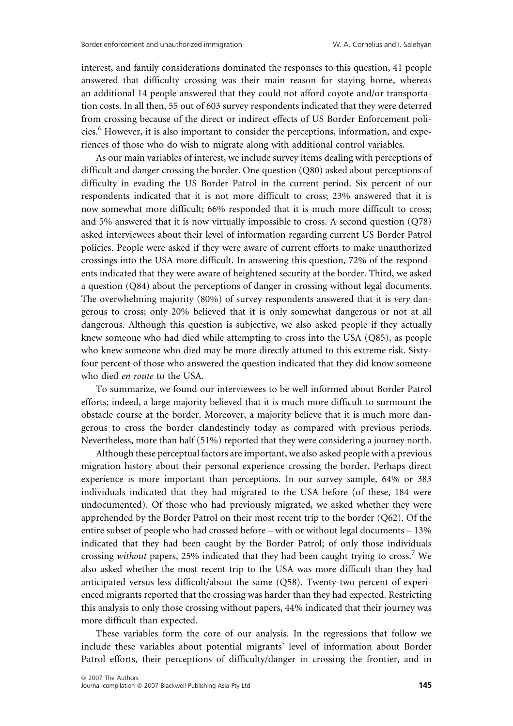interest, and family considerations dominated the responses to this question, 41 people answered that difficulty crossing was their main reason for staying home, whereas an additional 14 people answered that they could not afford coyote and/or transportation costs. In all then, 55 out of 603 survey respondents indicated that they were deterred from crossing because of the direct or indirect effects of US Border Enforcement policies.<sup>6</sup> However, it is also important to consider the perceptions, information, and experiences of those who do wish to migrate along with additional control variables.

As our main variables of interest, we include survey items dealing with perceptions of difficult and danger crossing the border. One question (Q80) asked about perceptions of difficulty in evading the US Border Patrol in the current period. Six percent of our respondents indicated that it is not more difficult to cross; 23% answered that it is now somewhat more difficult; 66% responded that it is much more difficult to cross; and 5% answered that it is now virtually impossible to cross. A second question (Q78) asked interviewees about their level of information regarding current US Border Patrol policies. People were asked if they were aware of current efforts to make unauthorized crossings into the USA more difficult. In answering this question, 72% of the respondents indicated that they were aware of heightened security at the border. Third, we asked a question (Q84) about the perceptions of danger in crossing without legal documents. The overwhelming majority (80%) of survey respondents answered that it is very dangerous to cross; only 20% believed that it is only somewhat dangerous or not at all dangerous. Although this question is subjective, we also asked people if they actually knew someone who had died while attempting to cross into the USA (Q85), as people who knew someone who died may be more directly attuned to this extreme risk. Sixtyfour percent of those who answered the question indicated that they did know someone who died en route to the USA.

To summarize, we found our interviewees to be well informed about Border Patrol efforts; indeed, a large majority believed that it is much more difficult to surmount the obstacle course at the border. Moreover, a majority believe that it is much more dangerous to cross the border clandestinely today as compared with previous periods. Nevertheless, more than half (51%) reported that they were considering a journey north.

Although these perceptual factors are important, we also asked people with a previous migration history about their personal experience crossing the border. Perhaps direct experience is more important than perceptions. In our survey sample, 64% or 383 individuals indicated that they had migrated to the USA before (of these, 184 were undocumented). Of those who had previously migrated, we asked whether they were apprehended by the Border Patrol on their most recent trip to the border (Q62). Of the entire subset of people who had crossed before – with or without legal documents – 13% indicated that they had been caught by the Border Patrol; of only those individuals crossing without papers, 25% indicated that they had been caught trying to  $\csc^7$  We also asked whether the most recent trip to the USA was more difficult than they had anticipated versus less difficult/about the same (Q58). Twenty-two percent of experienced migrants reported that the crossing was harder than they had expected. Restricting this analysis to only those crossing without papers, 44% indicated that their journey was more difficult than expected.

These variables form the core of our analysis. In the regressions that follow we include these variables about potential migrants' level of information about Border Patrol efforts, their perceptions of difficulty/danger in crossing the frontier, and in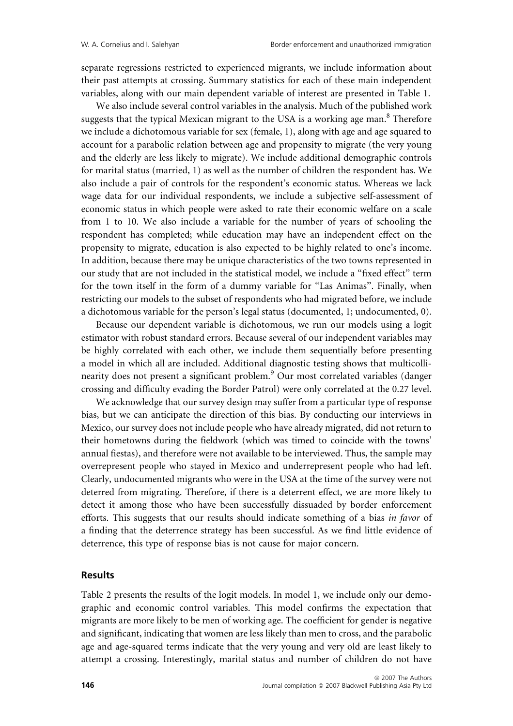separate regressions restricted to experienced migrants, we include information about their past attempts at crossing. Summary statistics for each of these main independent variables, along with our main dependent variable of interest are presented in Table 1.

We also include several control variables in the analysis. Much of the published work suggests that the typical Mexican migrant to the USA is a working age man.<sup>8</sup> Therefore we include a dichotomous variable for sex (female, 1), along with age and age squared to account for a parabolic relation between age and propensity to migrate (the very young and the elderly are less likely to migrate). We include additional demographic controls for marital status (married, 1) as well as the number of children the respondent has. We also include a pair of controls for the respondent's economic status. Whereas we lack wage data for our individual respondents, we include a subjective self-assessment of economic status in which people were asked to rate their economic welfare on a scale from 1 to 10. We also include a variable for the number of years of schooling the respondent has completed; while education may have an independent effect on the propensity to migrate, education is also expected to be highly related to one's income. In addition, because there may be unique characteristics of the two towns represented in our study that are not included in the statistical model, we include a ''fixed effect'' term for the town itself in the form of a dummy variable for "Las Animas". Finally, when restricting our models to the subset of respondents who had migrated before, we include a dichotomous variable for the person's legal status (documented, 1; undocumented, 0).

Because our dependent variable is dichotomous, we run our models using a logit estimator with robust standard errors. Because several of our independent variables may be highly correlated with each other, we include them sequentially before presenting a model in which all are included. Additional diagnostic testing shows that multicollinearity does not present a significant problem.<sup>9</sup> Our most correlated variables (danger crossing and difficulty evading the Border Patrol) were only correlated at the 0.27 level.

We acknowledge that our survey design may suffer from a particular type of response bias, but we can anticipate the direction of this bias. By conducting our interviews in Mexico, our survey does not include people who have already migrated, did not return to their hometowns during the fieldwork (which was timed to coincide with the towns' annual fiestas), and therefore were not available to be interviewed. Thus, the sample may overrepresent people who stayed in Mexico and underrepresent people who had left. Clearly, undocumented migrants who were in the USA at the time of the survey were not deterred from migrating. Therefore, if there is a deterrent effect, we are more likely to detect it among those who have been successfully dissuaded by border enforcement efforts. This suggests that our results should indicate something of a bias in favor of a finding that the deterrence strategy has been successful. As we find little evidence of deterrence, this type of response bias is not cause for major concern.

## Results

Table 2 presents the results of the logit models. In model 1, we include only our demographic and economic control variables. This model confirms the expectation that migrants are more likely to be men of working age. The coefficient for gender is negative and significant, indicating that women are less likely than men to cross, and the parabolic age and age-squared terms indicate that the very young and very old are least likely to attempt a crossing. Interestingly, marital status and number of children do not have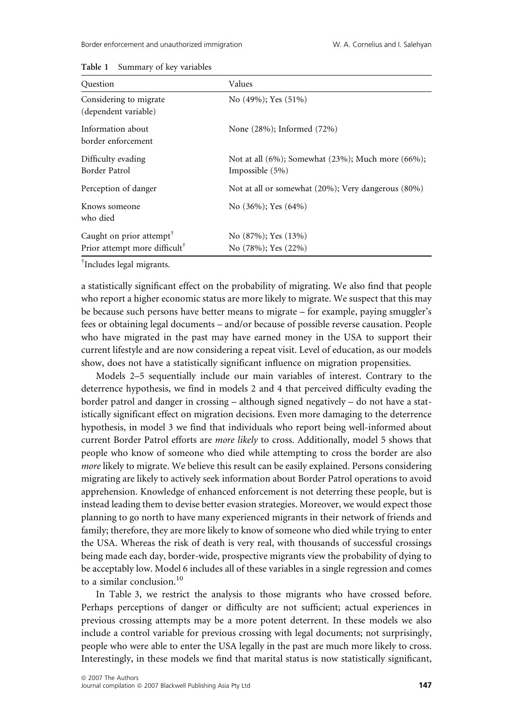| Ouestion                                                                          | Values                                                                 |
|-----------------------------------------------------------------------------------|------------------------------------------------------------------------|
| Considering to migrate<br>(dependent variable)                                    | No (49%); Yes (51%)                                                    |
| Information about<br>border enforcement                                           | None (28%); Informed (72%)                                             |
| Difficulty evading<br>Border Patrol                                               | Not at all (6%); Somewhat (23%); Much more (66%);<br>Impossible $(5%)$ |
| Perception of danger                                                              | Not at all or somewhat (20%); Very dangerous (80%)                     |
| Knows someone<br>who died                                                         | No $(36\%)$ ; Yes $(64\%)$                                             |
| Caught on prior attempt <sup>†</sup><br>Prior attempt more difficult <sup>†</sup> | No (87%); Yes (13%)<br>No (78%); Yes (22%)                             |

#### Table 1 Summary of key variables

† Includes legal migrants.

a statistically significant effect on the probability of migrating. We also find that people who report a higher economic status are more likely to migrate. We suspect that this may be because such persons have better means to migrate – for example, paying smuggler's fees or obtaining legal documents – and/or because of possible reverse causation. People who have migrated in the past may have earned money in the USA to support their current lifestyle and are now considering a repeat visit. Level of education, as our models show, does not have a statistically significant influence on migration propensities.

Models 2–5 sequentially include our main variables of interest. Contrary to the deterrence hypothesis, we find in models 2 and 4 that perceived difficulty evading the border patrol and danger in crossing – although signed negatively – do not have a statistically significant effect on migration decisions. Even more damaging to the deterrence hypothesis, in model 3 we find that individuals who report being well-informed about current Border Patrol efforts are more likely to cross. Additionally, model 5 shows that people who know of someone who died while attempting to cross the border are also more likely to migrate. We believe this result can be easily explained. Persons considering migrating are likely to actively seek information about Border Patrol operations to avoid apprehension. Knowledge of enhanced enforcement is not deterring these people, but is instead leading them to devise better evasion strategies. Moreover, we would expect those planning to go north to have many experienced migrants in their network of friends and family; therefore, they are more likely to know of someone who died while trying to enter the USA. Whereas the risk of death is very real, with thousands of successful crossings being made each day, border-wide, prospective migrants view the probability of dying to be acceptably low. Model 6 includes all of these variables in a single regression and comes to a similar conclusion.<sup>10</sup>

In Table 3, we restrict the analysis to those migrants who have crossed before. Perhaps perceptions of danger or difficulty are not sufficient; actual experiences in previous crossing attempts may be a more potent deterrent. In these models we also include a control variable for previous crossing with legal documents; not surprisingly, people who were able to enter the USA legally in the past are much more likely to cross. Interestingly, in these models we find that marital status is now statistically significant,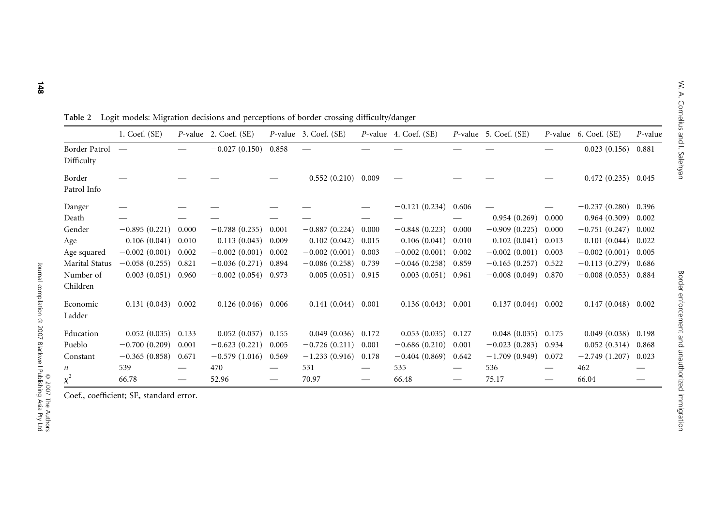|                             | 1. Coef. (SE)            |                                 | P-value 2. Coef. (SE) |                                 | P-value 3. Coef. (SE) |                                 | P-value 4. Coef. (SE) |       | P-value 5. Coef. (SE) |       | P-value 6. Coef. (SE) | $P$ -value               |
|-----------------------------|--------------------------|---------------------------------|-----------------------|---------------------------------|-----------------------|---------------------------------|-----------------------|-------|-----------------------|-------|-----------------------|--------------------------|
| Border Patrol<br>Difficulty | $\overline{\phantom{m}}$ |                                 | $-0.027(0.150)$ 0.858 |                                 |                       |                                 |                       |       |                       |       | 0.023(0.156)          | 0.881                    |
| Border<br>Patrol Info       |                          |                                 |                       |                                 | 0.552(0.210)          | 0.009                           |                       |       |                       |       | 0.472(0.235)          | 0.045                    |
| Danger                      |                          |                                 |                       |                                 |                       |                                 | $-0.121(0.234)$       | 0.606 |                       |       | $-0.237(0.280)$       | 0.396                    |
| Death                       |                          |                                 |                       |                                 |                       |                                 |                       |       | 0.954(0.269)          | 0.000 | 0.964(0.309)          | 0.002                    |
| Gender                      | $-0.895(0.221)$          | 0.000                           | $-0.788(0.235)$       | 0.001                           | $-0.887(0.224)$       | 0.000                           | $-0.848(0.223)$       | 0.000 | $-0.909(0.225)$       | 0.000 | $-0.751(0.247)$       | 0.002                    |
| Age                         | 0.106(0.041)             | 0.010                           | 0.113(0.043)          | 0.009                           | 0.102(0.042)          | 0.015                           | 0.106(0.041)          | 0.010 | 0.102(0.041)          | 0.013 | 0.101(0.044)          | 0.022                    |
| Age squared                 | $-0.002(0.001)$          | 0.002                           | $-0.002(0.001)$       | 0.002                           | $-0.002(0.001)$       | 0.003                           | $-0.002(0.001)$       | 0.002 | $-0.002(0.001)$       | 0.003 | $-0.002(0.001)$       | 0.005                    |
| Marital Status              | $-0.058(0.255)$          | 0.821                           | $-0.036(0.271)$       | 0.894                           | $-0.086(0.258)$       | 0.739                           | $-0.046(0.258)$       | 0.859 | $-0.165(0.257)$       | 0.522 | $-0.113(0.279)$       | 0.686                    |
| Number of<br>Children       | 0.003(0.051)             | 0.960                           | $-0.002(0.054)$       | 0.973                           | 0.005(0.051)          | 0.915                           | 0.003(0.051)          | 0.961 | $-0.008(0.049)$       | 0.870 | $-0.008(0.053)$ 0.884 |                          |
| Economic<br>Ladder          | 0.131(0.043)             | 0.002                           | 0.126(0.046)          | 0.006                           | 0.141(0.044)          | 0.001                           | 0.136(0.043)          | 0.001 | 0.137(0.044)          | 0.002 | 0.147(0.048)          | 0.002                    |
| Education                   | 0.052(0.035)             | 0.133                           | 0.052(0.037)          | 0.155                           | 0.049(0.036)          | 0.172                           | 0.053(0.035)          | 0.127 | 0.048(0.035)          | 0.175 | 0.049(0.038)          | 0.198                    |
| Pueblo                      | $-0.700(0.209)$          | 0.001                           | $-0.623(0.221)$       | 0.005                           | $-0.726(0.211)$       | 0.001                           | $-0.686(0.210)$       | 0.001 | $-0.023(0.283)$       | 0.934 | 0.052(0.314)          | 0.868                    |
| Constant                    | $-0.365(0.858)$          | 0.671                           | $-0.579(1.016)$       | 0.569                           | $-1.233(0.916)$       | 0.178                           | $-0.404(0.869)$       | 0.642 | $-1.709(0.949)$       | 0.072 | $-2.749(1.207)$       | 0.023                    |
| $\boldsymbol{n}$            | 539                      |                                 | 470                   |                                 | 531                   |                                 | 535                   |       | 536                   |       | 462                   |                          |
| $\chi^2$                    | 66.78                    | $\hspace{0.1mm}-\hspace{0.1mm}$ | 52.96                 | $\hspace{0.1mm}-\hspace{0.1mm}$ | 70.97                 | $\hspace{0.1mm}-\hspace{0.1mm}$ | 66.48                 |       | 75.17                 |       | 66.04                 | $\overline{\phantom{m}}$ |

Table 2 Logit models: Migration decisions and perceptions of border crossing difficulty/danger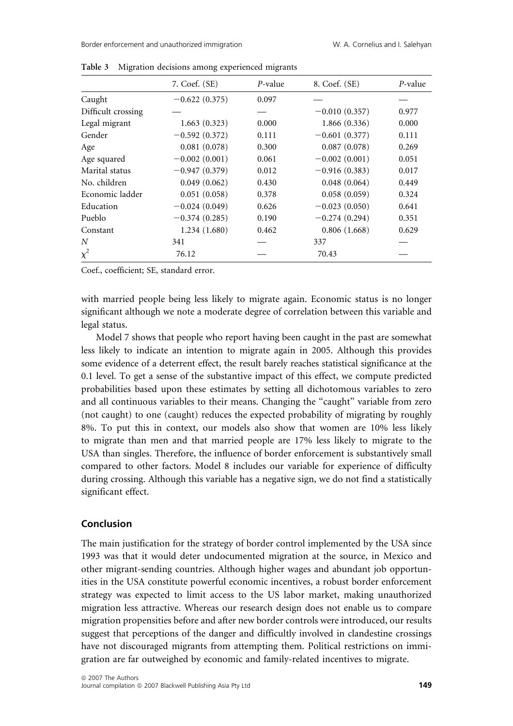|                    | 7. Coef. (SE)   | $P$ -value | 8. Coef. (SE)   | $P$ -value |
|--------------------|-----------------|------------|-----------------|------------|
| Caught             | $-0.622(0.375)$ | 0.097      |                 |            |
| Difficult crossing |                 |            | $-0.010(0.357)$ | 0.977      |
| Legal migrant      | 1.663(0.323)    | 0.000      | 1.866(0.336)    | 0.000      |
| Gender             | $-0.592(0.372)$ | 0.111      | $-0.601(0.377)$ | 0.111      |
| Age                | 0.081(0.078)    | 0.300      | 0.087(0.078)    | 0.269      |
| Age squared        | $-0.002(0.001)$ | 0.061      | $-0.002(0.001)$ | 0.051      |
| Marital status     | $-0.947(0.379)$ | 0.012      | $-0.916(0.383)$ | 0.017      |
| No. children       | 0.049(0.062)    | 0.430      | 0.048(0.064)    | 0.449      |
| Economic ladder    | 0.051(0.058)    | 0.378      | 0.058(0.059)    | 0.324      |
| Education          | $-0.024(0.049)$ | 0.626      | $-0.023(0.050)$ | 0.641      |
| Pueblo             | $-0.374(0.285)$ | 0.190      | $-0.274(0.294)$ | 0.351      |
| Constant           | 1.234(1.680)    | 0.462      | 0.806(1.668)    | 0.629      |
| N                  | 341             |            | 337             |            |
| $\chi^2$           | 76.12           |            | 70.43           |            |

Table 3 Migration decisions among experienced migrants

Coef., coefficient; SE, standard error.

with married people being less likely to migrate again. Economic status is no longer significant although we note a moderate degree of correlation between this variable and legal status.

Model 7 shows that people who report having been caught in the past are somewhat less likely to indicate an intention to migrate again in 2005. Although this provides some evidence of a deterrent effect, the result barely reaches statistical significance at the 0.1 level. To get a sense of the substantive impact of this effect, we compute predicted probabilities based upon these estimates by setting all dichotomous variables to zero and all continuous variables to their means. Changing the ''caught'' variable from zero (not caught) to one (caught) reduces the expected probability of migrating by roughly 8%. To put this in context, our models also show that women are 10% less likely to migrate than men and that married people are 17% less likely to migrate to the USA than singles. Therefore, the influence of border enforcement is substantively small compared to other factors. Model 8 includes our variable for experience of difficulty during crossing. Although this variable has a negative sign, we do not find a statistically significant effect.

# Conclusion

The main justification for the strategy of border control implemented by the USA since 1993 was that it would deter undocumented migration at the source, in Mexico and other migrant-sending countries. Although higher wages and abundant job opportunities in the USA constitute powerful economic incentives, a robust border enforcement strategy was expected to limit access to the US labor market, making unauthorized migration less attractive. Whereas our research design does not enable us to compare migration propensities before and after new border controls were introduced, our results suggest that perceptions of the danger and difficultly involved in clandestine crossings have not discouraged migrants from attempting them. Political restrictions on immigration are far outweighed by economic and family-related incentives to migrate.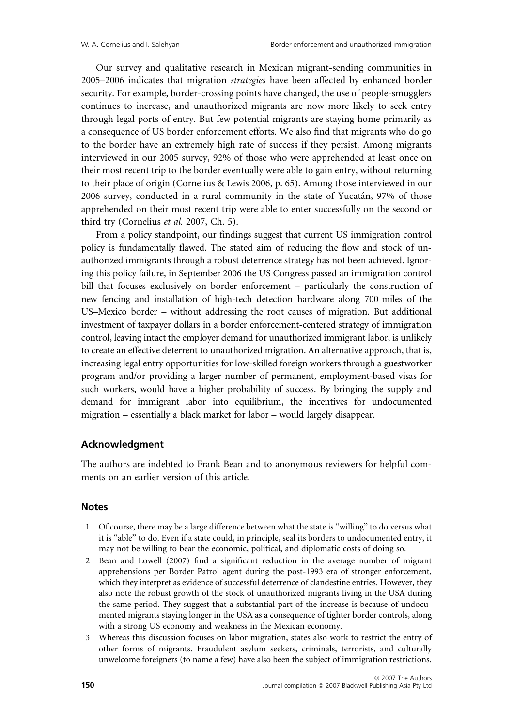Our survey and qualitative research in Mexican migrant-sending communities in 2005–2006 indicates that migration strategies have been affected by enhanced border security. For example, border-crossing points have changed, the use of people-smugglers continues to increase, and unauthorized migrants are now more likely to seek entry through legal ports of entry. But few potential migrants are staying home primarily as a consequence of US border enforcement efforts. We also find that migrants who do go to the border have an extremely high rate of success if they persist. Among migrants interviewed in our 2005 survey, 92% of those who were apprehended at least once on their most recent trip to the border eventually were able to gain entry, without returning to their place of origin (Cornelius & Lewis 2006, p. 65). Among those interviewed in our 2006 survey, conducted in a rural community in the state of Yucatán, 97% of those apprehended on their most recent trip were able to enter successfully on the second or third try (Cornelius et al. 2007, Ch. 5).

From a policy standpoint, our findings suggest that current US immigration control policy is fundamentally flawed. The stated aim of reducing the flow and stock of unauthorized immigrants through a robust deterrence strategy has not been achieved. Ignoring this policy failure, in September 2006 the US Congress passed an immigration control bill that focuses exclusively on border enforcement – particularly the construction of new fencing and installation of high-tech detection hardware along 700 miles of the US–Mexico border – without addressing the root causes of migration. But additional investment of taxpayer dollars in a border enforcement-centered strategy of immigration control, leaving intact the employer demand for unauthorized immigrant labor, is unlikely to create an effective deterrent to unauthorized migration. An alternative approach, that is, increasing legal entry opportunities for low-skilled foreign workers through a guestworker program and/or providing a larger number of permanent, employment-based visas for such workers, would have a higher probability of success. By bringing the supply and demand for immigrant labor into equilibrium, the incentives for undocumented migration – essentially a black market for labor – would largely disappear.

# Acknowledgment

The authors are indebted to Frank Bean and to anonymous reviewers for helpful comments on an earlier version of this article.

# Notes

- 1 Of course, there may be a large difference between what the state is ''willing'' to do versus what it is ''able'' to do. Even if a state could, in principle, seal its borders to undocumented entry, it may not be willing to bear the economic, political, and diplomatic costs of doing so.
- 2 Bean and Lowell (2007) find a significant reduction in the average number of migrant apprehensions per Border Patrol agent during the post-1993 era of stronger enforcement, which they interpret as evidence of successful deterrence of clandestine entries. However, they also note the robust growth of the stock of unauthorized migrants living in the USA during the same period. They suggest that a substantial part of the increase is because of undocumented migrants staying longer in the USA as a consequence of tighter border controls, along with a strong US economy and weakness in the Mexican economy.
- 3 Whereas this discussion focuses on labor migration, states also work to restrict the entry of other forms of migrants. Fraudulent asylum seekers, criminals, terrorists, and culturally unwelcome foreigners (to name a few) have also been the subject of immigration restrictions.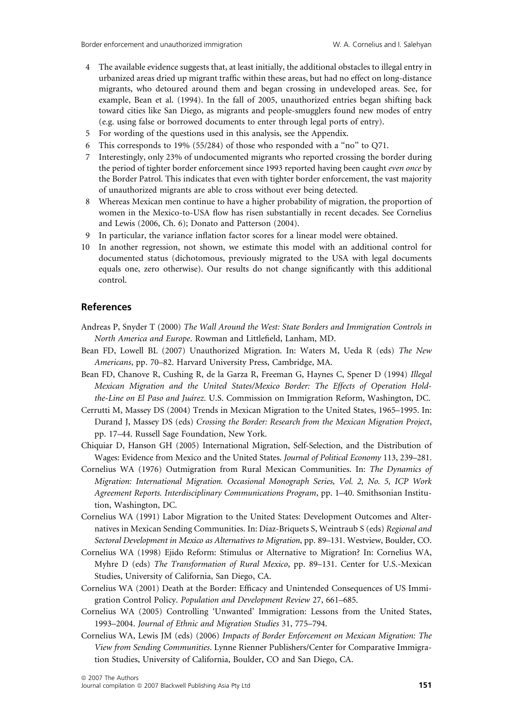- 4 The available evidence suggests that, at least initially, the additional obstacles to illegal entry in urbanized areas dried up migrant traffic within these areas, but had no effect on long-distance migrants, who detoured around them and began crossing in undeveloped areas. See, for example, Bean et al. (1994). In the fall of 2005, unauthorized entries began shifting back toward cities like San Diego, as migrants and people-smugglers found new modes of entry (e.g. using false or borrowed documents to enter through legal ports of entry).
- 5 For wording of the questions used in this analysis, see the Appendix.
- 6 This corresponds to 19% (55/284) of those who responded with a ''no'' to Q71.
- 7 Interestingly, only 23% of undocumented migrants who reported crossing the border during the period of tighter border enforcement since 1993 reported having been caught even once by the Border Patrol. This indicates that even with tighter border enforcement, the vast majority of unauthorized migrants are able to cross without ever being detected.
- 8 Whereas Mexican men continue to have a higher probability of migration, the proportion of women in the Mexico-to-USA flow has risen substantially in recent decades. See Cornelius and Lewis (2006, Ch. 6); Donato and Patterson (2004).
- 9 In particular, the variance inflation factor scores for a linear model were obtained.
- 10 In another regression, not shown, we estimate this model with an additional control for documented status (dichotomous, previously migrated to the USA with legal documents equals one, zero otherwise). Our results do not change significantly with this additional control.

#### References

- Andreas P, Snyder T (2000) The Wall Around the West: State Borders and Immigration Controls in North America and Europe. Rowman and Littlefield, Lanham, MD.
- Bean FD, Lowell BL (2007) Unauthorized Migration. In: Waters M, Ueda R (eds) The New Americans, pp. 70–82. Harvard University Press, Cambridge, MA.
- Bean FD, Chanove R, Cushing R, de la Garza R, Freeman G, Haynes C, Spener D (1994) Illegal Mexican Migration and the United States/Mexico Border: The Effects of Operation Holdthe-Line on El Paso and Juárez. U.S. Commission on Immigration Reform, Washington, DC.
- Cerrutti M, Massey DS (2004) Trends in Mexican Migration to the United States, 1965–1995. In: Durand J, Massey DS (eds) Crossing the Border: Research from the Mexican Migration Project, pp. 17–44. Russell Sage Foundation, New York.
- Chiquiar D, Hanson GH (2005) International Migration, Self-Selection, and the Distribution of Wages: Evidence from Mexico and the United States. Journal of Political Economy 113, 239–281.
- Cornelius WA (1976) Outmigration from Rural Mexican Communities. In: The Dynamics of Migration: International Migration. Occasional Monograph Series, Vol. 2, No. 5, ICP Work Agreement Reports. Interdisciplinary Communications Program, pp. 1–40. Smithsonian Institution, Washington, DC.
- Cornelius WA (1991) Labor Migration to the United States: Development Outcomes and Alternatives in Mexican Sending Communities. In: Díaz-Briquets S, Weintraub S (eds) Regional and Sectoral Development in Mexico as Alternatives to Migration, pp. 89–131. Westview, Boulder, CO.
- Cornelius WA (1998) Ejido Reform: Stimulus or Alternative to Migration? In: Cornelius WA, Myhre D (eds) The Transformation of Rural Mexico, pp. 89–131. Center for U.S.-Mexican Studies, University of California, San Diego, CA.
- Cornelius WA (2001) Death at the Border: Efficacy and Unintended Consequences of US Immigration Control Policy. Population and Development Review 27, 661–685.
- Cornelius WA (2005) Controlling 'Unwanted' Immigration: Lessons from the United States, 1993–2004. Journal of Ethnic and Migration Studies 31, 775–794.
- Cornelius WA, Lewis JM (eds) (2006) Impacts of Border Enforcement on Mexican Migration: The View from Sending Communities. Lynne Rienner Publishers/Center for Comparative Immigration Studies, University of California, Boulder, CO and San Diego, CA.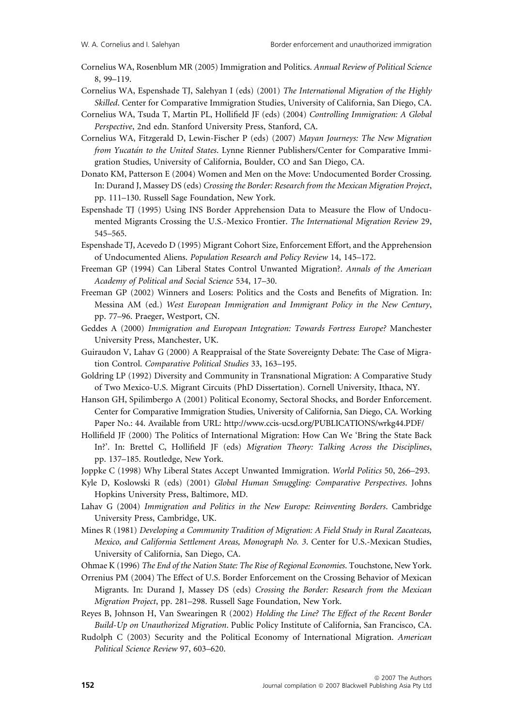- Cornelius WA, Rosenblum MR (2005) Immigration and Politics. Annual Review of Political Science 8, 99–119.
- Cornelius WA, Espenshade TJ, Salehyan I (eds) (2001) The International Migration of the Highly Skilled. Center for Comparative Immigration Studies, University of California, San Diego, CA.
- Cornelius WA, Tsuda T, Martin PL, Hollifield JF (eds) (2004) Controlling Immigration: A Global Perspective, 2nd edn. Stanford University Press, Stanford, CA.
- Cornelius WA, Fitzgerald D, Lewin-Fischer P (eds) (2007) Mayan Journeys: The New Migration from Yucatán to the United States. Lynne Rienner Publishers/Center for Comparative Immigration Studies, University of California, Boulder, CO and San Diego, CA.
- Donato KM, Patterson E (2004) Women and Men on the Move: Undocumented Border Crossing. In: Durand J, Massey DS (eds) Crossing the Border: Research from the Mexican Migration Project, pp. 111–130. Russell Sage Foundation, New York.
- Espenshade TJ (1995) Using INS Border Apprehension Data to Measure the Flow of Undocumented Migrants Crossing the U.S.-Mexico Frontier. The International Migration Review 29, 545–565.
- Espenshade TJ, Acevedo D (1995) Migrant Cohort Size, Enforcement Effort, and the Apprehension of Undocumented Aliens. Population Research and Policy Review 14, 145–172.
- Freeman GP (1994) Can Liberal States Control Unwanted Migration?. Annals of the American Academy of Political and Social Science 534, 17–30.
- Freeman GP (2002) Winners and Losers: Politics and the Costs and Benefits of Migration. In: Messina AM (ed.) West European Immigration and Immigrant Policy in the New Century, pp. 77–96. Praeger, Westport, CN.
- Geddes A (2000) Immigration and European Integration: Towards Fortress Europe? Manchester University Press, Manchester, UK.
- Guiraudon V, Lahav G (2000) A Reappraisal of the State Sovereignty Debate: The Case of Migration Control. Comparative Political Studies 33, 163–195.
- Goldring LP (1992) Diversity and Community in Transnational Migration: A Comparative Study of Two Mexico-U.S. Migrant Circuits (PhD Dissertation). Cornell University, Ithaca, NY.
- Hanson GH, Spilimbergo A (2001) Political Economy, Sectoral Shocks, and Border Enforcement. Center for Comparative Immigration Studies, University of California, San Diego, CA. Working Paper No.: 44. Available from URL: http://www.ccis-ucsd.org/PUBLICATIONS/wrkg44.PDF/
- Hollifield JF (2000) The Politics of International Migration: How Can We 'Bring the State Back In?'. In: Brettel C, Hollifield JF (eds) Migration Theory: Talking Across the Disciplines, pp. 137–185. Routledge, New York.
- Joppke C (1998) Why Liberal States Accept Unwanted Immigration. World Politics 50, 266–293.
- Kyle D, Koslowski R (eds) (2001) Global Human Smuggling: Comparative Perspectives. Johns Hopkins University Press, Baltimore, MD.
- Lahav G (2004) Immigration and Politics in the New Europe: Reinventing Borders. Cambridge University Press, Cambridge, UK.
- Mines R (1981) Developing a Community Tradition of Migration: A Field Study in Rural Zacatecas, Mexico, and California Settlement Areas, Monograph No. 3. Center for U.S.-Mexican Studies, University of California, San Diego, CA.

Ohmae K (1996) The End of the Nation State: The Rise of Regional Economies. Touchstone, New York.

- Orrenius PM (2004) The Effect of U.S. Border Enforcement on the Crossing Behavior of Mexican Migrants. In: Durand J, Massey DS (eds) Crossing the Border: Research from the Mexican Migration Project, pp. 281–298. Russell Sage Foundation, New York.
- Reyes B, Johnson H, Van Swearingen R (2002) Holding the Line? The Effect of the Recent Border Build-Up on Unauthorized Migration. Public Policy Institute of California, San Francisco, CA.
- Rudolph C (2003) Security and the Political Economy of International Migration. American Political Science Review 97, 603–620.